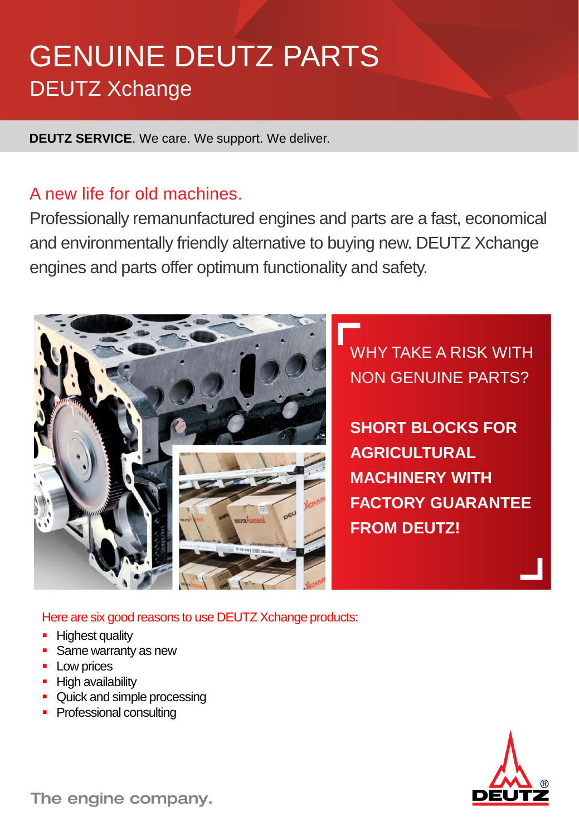# GENUINE DEUTZ PARTS DEUTZ Xchange

**DEUTZ SERVICE**. We care. We support. We deliver.

## A new life for old machines.

Professionally remanunfactured engines and parts are a fast, economical and environmentally friendly alternative to buying new. DEUTZ Xchange engines and parts offer optimum functionality and safety.



WHY TAKE A RISK WITH NON GENUINE PARTS?

**SHORT BLOCKS FOR AGRICULTURAL MACHINERY WITH FACTORY GUARANTEE FROM DEUTZ!**

Here are six good reasons to use DEUTZ Xchange products:

- **Highest quality**
- **Same warranty as new**
- **Low prices**
- **High availability**
- Quick and simple processing
- Professional consulting



The engine company.